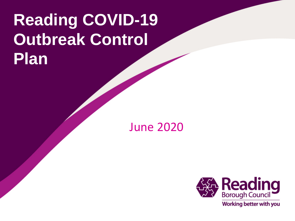# **Reading COVID-19 Outbreak Control Plan**

June 2020

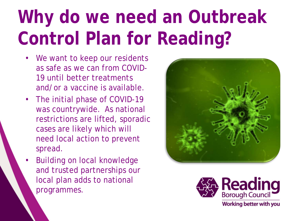# **Why do we need an Outbreak Control Plan for Reading?**

- We want to keep our residents as safe as we can from COVID-19 until better treatments and/or a vaccine is available.
- The initial phase of COVID-19 was countrywide. As national restrictions are lifted, sporadic cases are likely which will need local action to prevent spread.
- Building on local knowledge and trusted partnerships our local plan adds to national programmes.



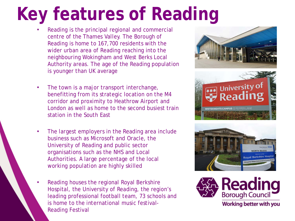# **Key features of Reading**

- Reading is the principal regional and commercial centre of the Thames Valley. The Borough of Reading is home to 167,700 residents with the wider urban area of Reading reaching into the neighbouring Wokingham and West Berks Local Authority areas. The age of the Reading population is younger than UK average
- The town is a major transport interchange, benefitting from its strategic location on the M4 corridor and proximity to Heathrow Airport and London as well as home to the second busiest train station in the South East
- The largest employers in the Reading area include business such as Microsoft and Oracle, the University of Reading and public sector organisations such as the NHS and Local Authorities. A large percentage of the local working population are highly skilled
- Reading houses the regional Royal Berkshire Hospital, the University of Reading, the region's leading professional football team, 73 schools and is home to the international music festival-Reading Festival





**VHITEKNIGHTS CAMPUS | PEPPER LANI** 

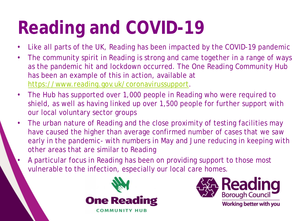# **Reading and COVID-19**

- Like all parts of the UK, Reading has been impacted by the COVID-19 pandemic
- The community spirit in Reading is strong and came together in a range of ways as the pandemic hit and lockdown occurred. The One Reading Community Hub has been an example of this in action, available at [https://www.reading.gov.uk/coronavirussupport.](https://www.reading.gov.uk/coronavirussupport)
- The Hub has supported over 1,000 people in Reading who were required to shield, as well as having linked up over 1,500 people for further support with our local voluntary sector groups
- The urban nature of Reading and the close proximity of testing facilities may have caused the higher than average confirmed number of cases that we saw early in the pandemic- with numbers in May and June reducing in keeping with other areas that are similar to Reading
- A particular focus in Reading has been on providing support to those most vulnerable to the infection, especially our local care homes.



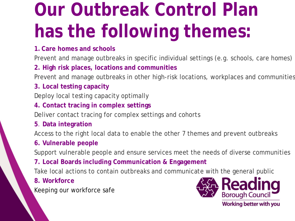# **Our Outbreak Control Plan has the following themes:**

## **1. Care homes and schools**

Prevent and manage outbreaks in specific individual settings (e.g. schools, care homes)

## **2. High risk places, locations and communities**

Prevent and manage outbreaks in other high-risk locations, workplaces and communities

## **3. Local testing capacity**

Deploy local testing capacity optimally

## **4. Contact tracing in complex settings**

Deliver contact tracing for complex settings and cohorts

**5**. **Data integration**

Access to the right local data to enable the other 7 themes and prevent outbreaks

## **6. Vulnerable people**

Support vulnerable people and ensure services meet the needs of diverse communities

## **7. Local Boards including Communication & Engagement**

Take local actions to contain outbreaks and communicate with the general public

## **8. Workforce**

Keeping our workforce safe



Working better with you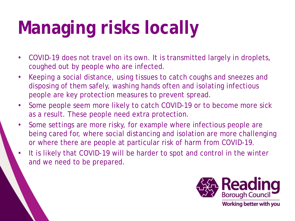# **Managing risks locally**

- COVID-19 does not travel on its own. It is transmitted largely in droplets, coughed out by people who are infected.
- Keeping a social distance, using tissues to catch coughs and sneezes and disposing of them safely, washing hands often and isolating infectious people are key protection measures to prevent spread.
- Some people seem more likely to catch COVID-19 or to become more sick as a result. These people need extra protection.
- Some settings are more risky, for example where infectious people are being cared for, where social distancing and isolation are more challenging or where there are people at particular risk of harm from COVID-19.
- It is likely that COVID-19 will be harder to spot and control in the winter and we need to be prepared.

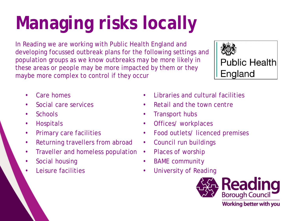# **Managing risks locally**

In Reading we are working with Public Health England and developing focussed outbreak plans for the following settings and population groups as we know outbreaks may be more likely in these areas or people may be more impacted by them or they maybe more complex to control if they occur



- Care homes
- Social care services
- Schools
- Hospitals
- Primary care facilities
- Returning travellers from abroad
- Traveller and homeless population
- Social housing
- Leisure facilities
- Libraries and cultural facilities
- Retail and the town centre
- Transport hubs
- Offices/ workplaces
- Food outlets/ licenced premises
- Council run buildings
- Places of worship
- BAME community
- University of Reading

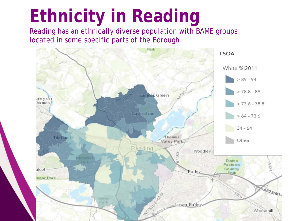# **Ethnicity in Reading**

Reading has an ethnically diverse population with BAME groups located in some specific parts of the Borough

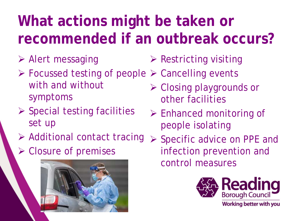## **What actions might be taken or recommended if an outbreak occurs?**

- Alert messaging
- **≻ Focussed testing of people > Cancelling events** with and without symptoms
- $\triangleright$  Special testing facilities set up
- Additional contact tracing
- $\triangleright$  Closure of premises



- $\triangleright$  Restricting visiting
- Closing playgrounds or other facilities
- $\triangleright$  Enhanced monitoring of people isolating
- ▶ Specific advice on PPE and infection prevention and control measures

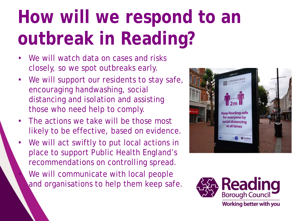# **How will we respond to an outbreak in Reading?**

- We will watch data on cases and risks closely, so we spot outbreaks early.
- We will support our residents to stay safe, encouraging handwashing, social distancing and isolation and assisting those who need help to comply.
- The actions we take will be those most likely to be effective, based on evidence.
- We will act swiftly to put local actions in place to support Public Health England's recommendations on controlling spread. We will communicate with local people and organisations to help them keep safe.



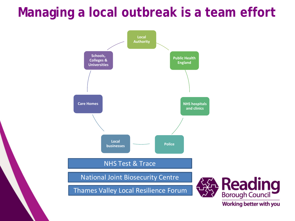## **Managing a local outbreak is a team effort**



Working better with you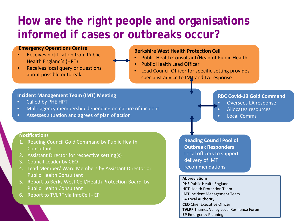## **How are the right people and organisations informed if cases or outbreaks occur?**

### **Emergency Operations Centre**

- Receives notification from Public Health England's (HPT)
- Receives local query or questions about possible outbreak

### **Berkshire West Health Protection Cell**

- Public Health Consultant/Head of Public Health
- Public Health Lead Officer
- Lead Council Officer for specific setting provides
	- specialist advice to IMT and LA response

### **Incident Management Team (IMT) Meeting**

- Called by PHE HPT
- Multi agency membership depending on nature of incident
- Assesses situation and agrees of plan of action

### **RBC Covid-19 Gold Command**

- Oversees LA response
- Allocates resources
- Local Comms

### **Notifications**

- 1. Reading Council Gold Command by Public Health **Consultant**
- 2. Assistant Director for respective setting(s)
- 3. Council Leader by CEO
- 4. Lead Member/ Ward Members by Assistant Director or Public Health Consultant
- 5. Report to Berks West Cell/Health Protection Board by Public Health Consultant
- 6. Report to TVLRF via InfoCell EP

**Reading Council Pool of Outbreak Responders**  Local officers to support delivery of IMT recommendations

#### **Abbreviations**

**PHE** Public Health England **HPT** Health Protection Team **IMT** Incident Management Team **LA** Local Authority **CEO** Chief Executive Officer **TVLRF** Thames Valley Local Resilience Forum **EP** Emergency Planning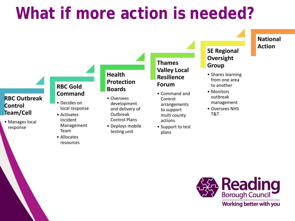## **What if more action is needed?**

### **RBC Outbreak Control Team/Cell**

• Manages local response

### **RBC Gold Command**

- Decides on local response
- Activates Incident Management Team
- Allocates resources

## **Health Protection Boards**

- Oversees development and delivery of Outbreak Control Plans
- Deploys mobile testing unit

## **Thames Valley Local Resilience Forum**

- Command and Control arrangements to support multi county actions
- Support to test plans

## **SE Regional Oversight Group**

**National** 

**Action**

- Shares learning from one area to another
- Monitors outbreak management
- Oversees NHS T&T

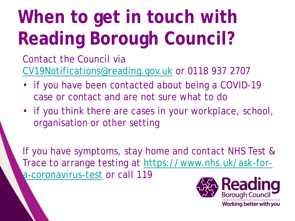# **When to get in touch with Reading Borough Council?**

Contact the Council via [CV19Notifications@reading.gov.uk](mailto:CV19Notifications@reading.gov.uk) or 0118 937 2707

- if you have been contacted about being a COVID-19 case or contact and are not sure what to do
- if you think there are cases in your workplace, school, organisation or other setting

If you have symptoms, stay home and contact NHS Test & [Trace to arrange testing at https://www.nhs.uk/ask-for](https://www.nhs.uk/ask-for-a-coronavirus-test)a-coronavirus-test or call 119

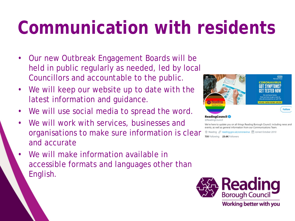# **Communication with residents**

- Our new Outbreak Engagement Boards will be held in public regularly as needed, led by local Councillors and accountable to the public.
- We will keep our website up to date with the latest information and guidance.
- We will use social media to spread the word.
- We will work with services, businesses and organisations to make sure information is clear and accurate
- We will make information available in accessible formats and languages other than English.



We're here to update you on all things Reading Borough Council, including news and events, as well as general information from our Communications Team

Reading & reading.gov.uk/coronavirus [11] Joined October 2010

735 Following 23.6K Followers

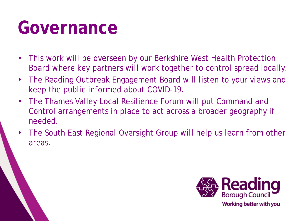# **Governance**

- This work will be overseen by our Berkshire West Health Protection Board where key partners will work together to control spread locally.
- The Reading Outbreak Engagement Board will listen to your views and keep the public informed about COVID-19.
- The Thames Valley Local Resilience Forum will put Command and Control arrangements in place to act across a broader geography if needed.
- The South East Regional Oversight Group will help us learn from other areas.